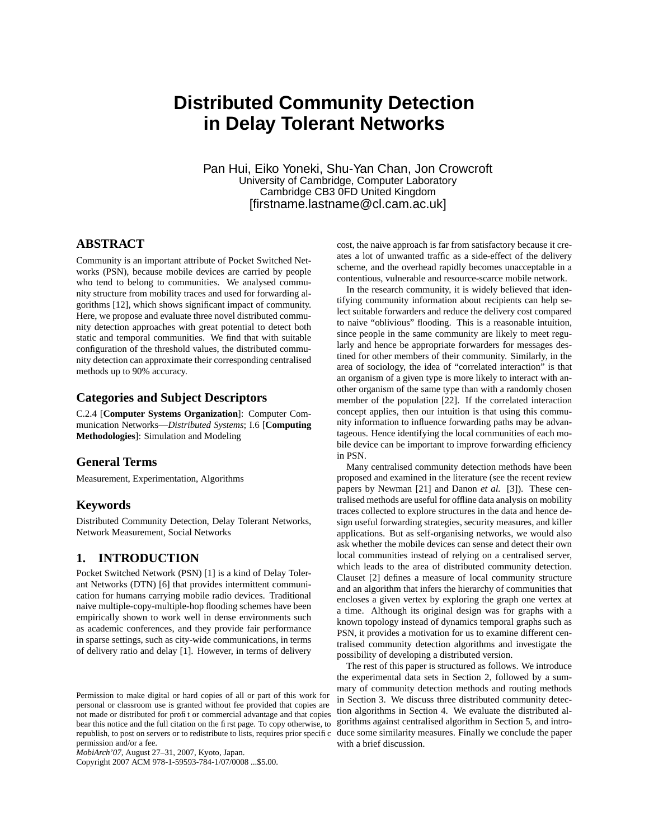# **Distributed Community Detection in Delay Tolerant Networks**

Pan Hui, Eiko Yoneki, Shu-Yan Chan, Jon Crowcroft University of Cambridge, Computer Laboratory Cambridge CB3 0FD United Kingdom [firstname.lastname@cl.cam.ac.uk]

# **ABSTRACT**

Community is an important attribute of Pocket Switched Networks (PSN), because mobile devices are carried by people who tend to belong to communities. We analysed community structure from mobility traces and used for forwarding algorithms [12], which shows significant impact of community. Here, we propose and evaluate three novel distributed community detection approaches with great potential to detect both static and temporal communities. We find that with suitable configuration of the threshold values, the distributed community detection can approximate their corresponding centralised methods up to 90% accuracy.

#### **Categories and Subject Descriptors**

C.2.4 [**Computer Systems Organization**]: Computer Communication Networks—*Distributed Systems*; I.6 [**Computing Methodologies**]: Simulation and Modeling

## **General Terms**

Measurement, Experimentation, Algorithms

#### **Keywords**

Distributed Community Detection, Delay Tolerant Networks, Network Measurement, Social Networks

# **1. INTRODUCTION**

Pocket Switched Network (PSN) [1] is a kind of Delay Tolerant Networks (DTN) [6] that provides intermittent communication for humans carrying mobile radio devices. Traditional naive multiple-copy-multiple-hop flooding schemes have been empirically shown to work well in dense environments such as academic conferences, and they provide fair performance in sparse settings, such as city-wide communications, in terms of delivery ratio and delay [1]. However, in terms of delivery

Copyright 2007 ACM 978-1-59593-784-1/07/0008 ...\$5.00.

cost, the naive approach is far from satisfactory because it creates a lot of unwanted traffic as a side-effect of the delivery scheme, and the overhead rapidly becomes unacceptable in a contentious, vulnerable and resource-scarce mobile network.

In the research community, it is widely believed that identifying community information about recipients can help select suitable forwarders and reduce the delivery cost compared to naive "oblivious" flooding. This is a reasonable intuition, since people in the same community are likely to meet regularly and hence be appropriate forwarders for messages destined for other members of their community. Similarly, in the area of sociology, the idea of "correlated interaction" is that an organism of a given type is more likely to interact with another organism of the same type than with a randomly chosen member of the population [22]. If the correlated interaction concept applies, then our intuition is that using this community information to influence forwarding paths may be advantageous. Hence identifying the local communities of each mobile device can be important to improve forwarding efficiency in PSN.

Many centralised community detection methods have been proposed and examined in the literature (see the recent review papers by Newman [21] and Danon *et al.* [3]). These centralised methods are useful for offline data analysis on mobility traces collected to explore structures in the data and hence design useful forwarding strategies, security measures, and killer applications. But as self-organising networks, we would also ask whether the mobile devices can sense and detect their own local communities instead of relying on a centralised server, which leads to the area of distributed community detection. Clauset [2] defines a measure of local community structure and an algorithm that infers the hierarchy of communities that encloses a given vertex by exploring the graph one vertex at a time. Although its original design was for graphs with a known topology instead of dynamics temporal graphs such as PSN, it provides a motivation for us to examine different centralised community detection algorithms and investigate the possibility of developing a distributed version.

The rest of this paper is structured as follows. We introduce the experimental data sets in Section 2, followed by a summary of community detection methods and routing methods in Section 3. We discuss three distributed community detection algorithms in Section 4. We evaluate the distributed algorithms against centralised algorithm in Section 5, and introduce some similarity measures. Finally we conclude the paper with a brief discussion.

Permission to make digital or hard copies of all or part of this work for personal or classroom use is granted without fee provided that copies are not made or distributed for profit or commercial advantage and that copies bear this notice and the full citation on the first page. To copy otherwise, to republish, to post on servers or to redistribute to lists, requires prior specific permission and/or a fee.

*MobiArch'07,* August 27–31, 2007, Kyoto, Japan.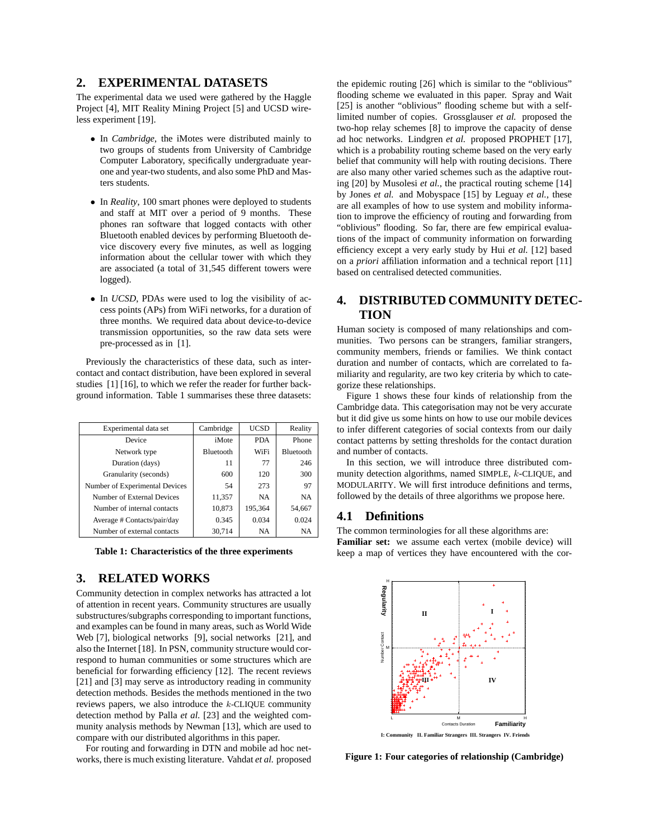# **2. EXPERIMENTAL DATASETS**

The experimental data we used were gathered by the Haggle Project [4], MIT Reality Mining Project [5] and UCSD wireless experiment [19].

- In *Cambridge*, the iMotes were distributed mainly to two groups of students from University of Cambridge Computer Laboratory, specifically undergraduate yearone and year-two students, and also some PhD and Masters students.
- In *Reality*, 100 smart phones were deployed to students and staff at MIT over a period of 9 months. These phones ran software that logged contacts with other Bluetooth enabled devices by performing Bluetooth device discovery every five minutes, as well as logging information about the cellular tower with which they are associated (a total of 31,545 different towers were logged).
- In *UCSD*, PDAs were used to log the visibility of access points (APs) from WiFi networks, for a duration of three months. We required data about device-to-device transmission opportunities, so the raw data sets were pre-processed as in [1].

Previously the characteristics of these data, such as intercontact and contact distribution, have been explored in several studies [1] [16], to which we refer the reader for further background information. Table 1 summarises these three datasets:

| Experimental data set          | Cambridge        | <b>UCSD</b> | Reality          |
|--------------------------------|------------------|-------------|------------------|
| Device                         | iMote            | <b>PDA</b>  | Phone            |
| Network type                   | <b>Bluetooth</b> | WiFi        | <b>Bluetooth</b> |
| Duration (days)                | 11               | 77          | 246              |
| Granularity (seconds)          | 600              | 120         | 300              |
| Number of Experimental Devices | 54               | 273         | 97               |
| Number of External Devices     | 11,357           | <b>NA</b>   | <b>NA</b>        |
| Number of internal contacts    | 10,873           | 195,364     | 54,667           |
| Average # Contacts/pair/day    | 0.345            | 0.034       | 0.024            |
| Number of external contacts    | 30,714           | NA          | NA               |

**Table 1: Characteristics of the three experiments**

## **3. RELATED WORKS**

Community detection in complex networks has attracted a lot of attention in recent years. Community structures are usually substructures/subgraphs corresponding to important functions, and examples can be found in many areas, such as World Wide Web [7], biological networks [9], social networks [21], and also the Internet [18]. In PSN, community structure would correspond to human communities or some structures which are beneficial for forwarding efficiency [12]. The recent reviews [21] and [3] may serve as introductory reading in community detection methods. Besides the methods mentioned in the two reviews papers, we also introduce the k-CLIQUE community detection method by Palla *et al.* [23] and the weighted community analysis methods by Newman [13], which are used to compare with our distributed algorithms in this paper.

For routing and forwarding in DTN and mobile ad hoc networks, there is much existing literature. Vahdat *et al.* proposed

the epidemic routing [26] which is similar to the "oblivious" flooding scheme we evaluated in this paper. Spray and Wait [25] is another "oblivious" flooding scheme but with a selflimited number of copies. Grossglauser *et al.* proposed the two-hop relay schemes [8] to improve the capacity of dense ad hoc networks. Lindgren *et al.* proposed PROPHET [17], which is a probability routing scheme based on the very early belief that community will help with routing decisions. There are also many other varied schemes such as the adaptive routing [20] by Musolesi *et al.*, the practical routing scheme [14] by Jones *et al.* and Mobyspace [15] by Leguay *et al.*, these are all examples of how to use system and mobility information to improve the efficiency of routing and forwarding from "oblivious" flooding. So far, there are few empirical evaluations of the impact of community information on forwarding efficiency except a very early study by Hui *et al.* [12] based on a *priori* affiliation information and a technical report [11] based on centralised detected communities.

# **4. DISTRIBUTED COMMUNITY DETEC-TION**

Human society is composed of many relationships and communities. Two persons can be strangers, familiar strangers, community members, friends or families. We think contact duration and number of contacts, which are correlated to familiarity and regularity, are two key criteria by which to categorize these relationships.

Figure 1 shows these four kinds of relationship from the Cambridge data. This categorisation may not be very accurate but it did give us some hints on how to use our mobile devices to infer different categories of social contexts from our daily contact patterns by setting thresholds for the contact duration and number of contacts.

In this section, we will introduce three distributed community detection algorithms, named SIMPLE, k-CLIQUE, and MODULARITY. We will first introduce definitions and terms, followed by the details of three algorithms we propose here.

## **4.1 Definitions**

The common terminologies for all these algorithms are: **Familiar set:** we assume each vertex (mobile device) will keep a map of vertices they have encountered with the cor-



**III. Familiar Strangers III. Strangers IV.** Friend

**Figure 1: Four categories of relationship (Cambridge)**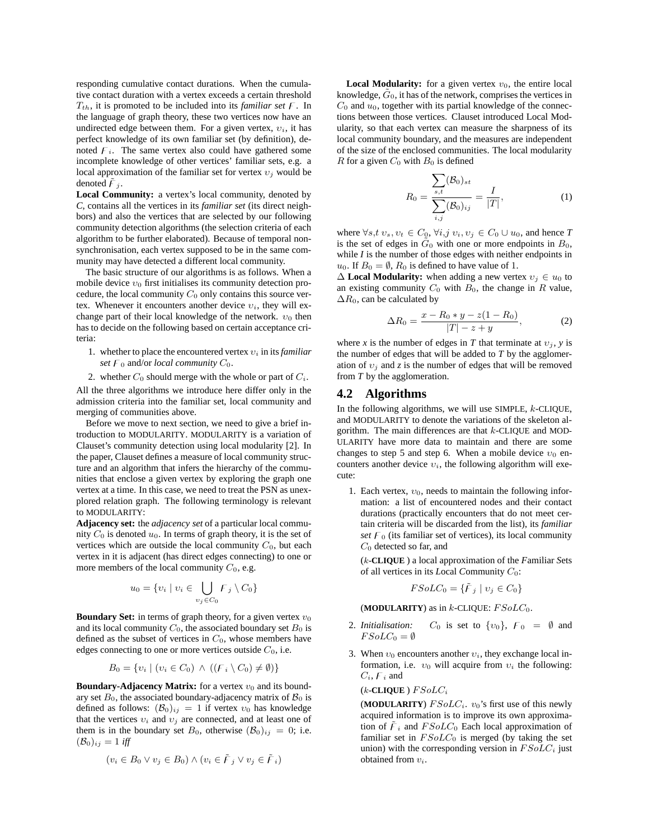responding cumulative contact durations. When the cumulative contact duration with a vertex exceeds a certain threshold  $T_{th}$ , it is promoted to be included into its *familiar set*  $\overline{F}$ . In the language of graph theory, these two vertices now have an undirected edge between them. For a given vertex,  $v_i$ , it has perfect knowledge of its own familiar set (by definition), denoted  $F_i$ . The same vertex also could have gathered some incomplete knowledge of other vertices' familiar sets, e.g. a local approximation of the familiar set for vertex  $v_j$  would be denoted  $\overline{F}_i$ .

**Local Community:** a vertex's local community, denoted by *C*, contains all the vertices in its *familiar set* (its direct neighbors) and also the vertices that are selected by our following community detection algorithms (the selection criteria of each algorithm to be further elaborated). Because of temporal nonsynchronisation, each vertex supposed to be in the same community may have detected a different local community.

The basic structure of our algorithms is as follows. When a mobile device  $v_0$  first initialises its community detection procedure, the local community  $C_0$  only contains this source vertex. Whenever it encounters another device  $v_i$ , they will exchange part of their local knowledge of the network.  $v_0$  then has to decide on the following based on certain acceptance criteria:

- 1. whether to place the encountered vertex  $v_i$  in its *familiar set*  $\digamma_0$  and/or *local community*  $C_0$ .
- 2. whether  $C_0$  should merge with the whole or part of  $C_i$ .

All the three algorithms we introduce here differ only in the admission criteria into the familiar set, local community and merging of communities above.

Before we move to next section, we need to give a brief introduction to MODULARITY. MODULARITY is a variation of Clauset's community detection using local modularity [2]. In the paper, Clauset defines a measure of local community structure and an algorithm that infers the hierarchy of the communities that enclose a given vertex by exploring the graph one vertex at a time. In this case, we need to treat the PSN as unexplored relation graph. The following terminology is relevant to MODULARITY:

**Adjacency set:** the *adjacency set* of a particular local community  $C_0$  is denoted  $u_0$ . In terms of graph theory, it is the set of vertices which are outside the local community  $C_0$ , but each vertex in it is adjacent (has direct edges connecting) to one or more members of the local community  $C_0$ , e.g.

$$
u_0 = \{v_i \mid v_i \in \bigcup_{v_j \in C_0} F_j \setminus C_0\}
$$

**Boundary Set:** in terms of graph theory, for a given vertex  $v_0$ and its local community  $C_0$ , the associated boundary set  $B_0$  is defined as the subset of vertices in  $C_0$ , whose members have edges connecting to one or more vertices outside  $C_0$ , i.e.

$$
B_0 = \{v_i \mid (v_i \in C_0) \land ((F_i \setminus C_0) \neq \emptyset)\}
$$

**Boundary-Adjacency Matrix:** for a vertex  $v_0$  and its boundary set  $B_0$ , the associated boundary-adjacency matrix of  $B_0$  is defined as follows:  $(\mathcal{B}_0)_{ij} = 1$  if vertex  $v_0$  has knowledge that the vertices  $v_i$  and  $v_j$  are connected, and at least one of them is in the boundary set  $B_0$ , otherwise  $(\mathcal{B}_0)_{ij} = 0$ ; i.e.  $(\mathcal{B}_0)_{ij} = 1$  *iff* 

$$
(v_i \in B_0 \lor v_j \in B_0) \land (v_i \in \tilde{F}_j \lor v_j \in \tilde{F}_i)
$$

**Local Modularity:** for a given vertex  $v_0$ , the entire local knowledge,  $\tilde{G}_0$ , it has of the network, comprises the vertices in  $C_0$  and  $u_0$ , together with its partial knowledge of the connections between those vertices. Clauset introduced Local Modularity, so that each vertex can measure the sharpness of its local community boundary, and the measures are independent of the size of the enclosed communities. The local modularity R for a given  $C_0$  with  $B_0$  is defined

$$
R_0 = \frac{\sum_{s,t} (\mathcal{B}_0)_{st}}{\sum_{i,j} (\mathcal{B}_0)_{ij}} = \frac{I}{|T|},
$$
 (1)

where  $\forall s, t \ v_s, v_t \in C_0$ ,  $\forall i, j \ v_i, v_j \in C_0 \cup u_0$ , and hence *T* is the set of edges in  $\tilde{G}_0$  with one or more endpoints in  $B_0$ , while *I* is the number of those edges with neither endpoints in  $u_0$ . If  $B_0 = \emptyset$ ,  $R_0$  is defined to have value of 1.

 $\Delta$  **Local Modularity:** when adding a new vertex  $v_i \in u_0$  to an existing community  $C_0$  with  $B_0$ , the change in R value,  $\Delta R_0$ , can be calculated by

$$
\Delta R_0 = \frac{x - R_0 * y - z(1 - R_0)}{|T| - z + y},
$$
\n(2)

where *x* is the number of edges in *T* that terminate at  $v_j$ , *y* is the number of edges that will be added to *T* by the agglomeration of  $v_j$  and *z* is the number of edges that will be removed from *T* by the agglomeration.

#### **4.2 Algorithms**

In the following algorithms, we will use SIMPLE,  $k$ -CLIQUE, and MODULARITY to denote the variations of the skeleton algorithm. The main differences are that  $k$ -CLIQUE and MOD-ULARITY have more data to maintain and there are some changes to step 5 and step 6. When a mobile device  $v_0$  encounters another device  $v_i$ , the following algorithm will execute:

1. Each vertex,  $v_0$ , needs to maintain the following information: a list of encountered nodes and their contact durations (practically encounters that do not meet certain criteria will be discarded from the list), its *familiar set*  $F_0$  (its familiar set of vertices), its local community  $C_0$  detected so far, and

(k**-CLIQUE** ) a local approximation of the *F*amiliar *S*ets *o*f all vertices in its *L*ocal *C*ommunity C0:

$$
FSoLC_0 = \{ \tilde{F}_j \mid \nu_j \in C_0 \}
$$

(**MODULARITY**) as in  $k$ -CLIQUE:  $FSoLC_0$ .

- 2. *Initialisation:*  $C_0$  is set to  $\{v_0\}$ ,  $F_0 = \emptyset$  and  $FSoLC_0 = \emptyset$
- 3. When  $v_0$  encounters another  $v_i$ , they exchange local information, i.e.  $v_0$  will acquire from  $v_i$  the following:  $C_i, F_i$  and

 $(k$ -CLIQUE)  $FSoLC_i$ 

(**MODULARITY**)  $FSoLC_i$ .  $v_0$ 's first use of this newly acquired information is to improve its own approximation of  $\tilde{F}_i$  and  $FSoLC_0$  Each local approximation of familiar set in  $FSoLC_0$  is merged (by taking the set union) with the corresponding version in  $FSoLC_i$  just obtained from  $v_i$ .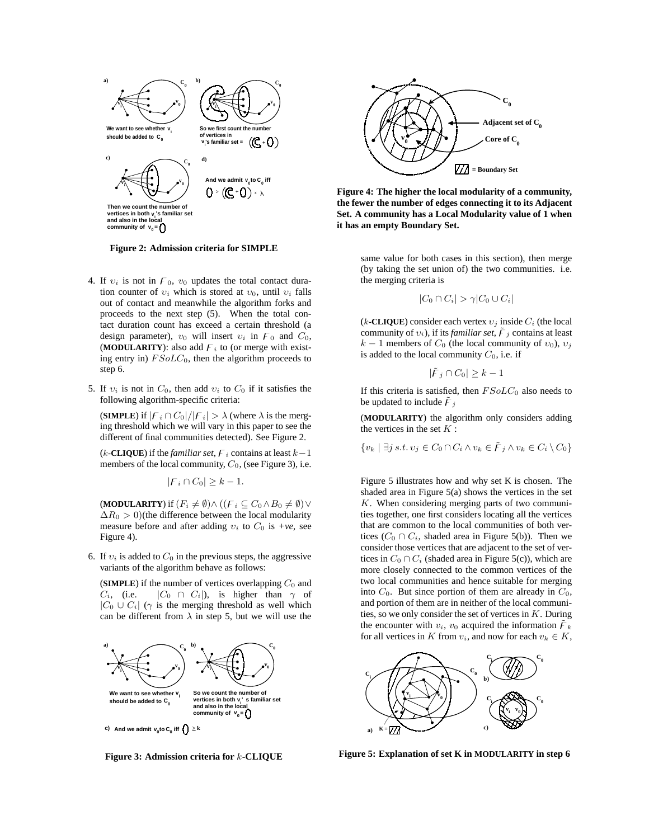

**Figure 2: Admission criteria for SIMPLE**

- 4. If  $v_i$  is not in  $F_0$ ,  $v_0$  updates the total contact duration counter of  $v_i$  which is stored at  $v_0$ , until  $v_i$  falls out of contact and meanwhile the algorithm forks and proceeds to the next step (5). When the total contact duration count has exceed a certain threshold (a design parameter),  $v_0$  will insert  $v_i$  in  $F_0$  and  $C_0$ , (**MODULARITY**): also add  $F_i$  to (or merge with existing entry in)  $FSoLC_0$ , then the algorithm proceeds to step 6.
- 5. If  $v_i$  is not in  $C_0$ , then add  $v_i$  to  $C_0$  if it satisfies the following algorithm-specific criteria:

**(SIMPLE**) if  $|F_i \cap C_0|/|F_i| > \lambda$  (where  $\lambda$  is the merging threshold which we will vary in this paper to see the different of final communities detected). See Figure 2.

 $(k$ **-CLIQUE**) if the *familiar set*,  $\overline{F}_i$  contains at least  $k-1$ members of the local community,  $C_0$ , (see Figure 3), i.e.

 $|F_i \cap C_0| \geq k - 1.$ 

(**MODULARITY**) if  $(F_i \neq \emptyset) \wedge ((F_i \subseteq C_0 \wedge B_0 \neq \emptyset) \vee$  $\Delta R_0 > 0$ )(the difference between the local modularity measure before and after adding  $v_i$  to  $C_0$  is *+ve*, see Figure 4).

6. If  $v_i$  is added to  $C_0$  in the previous steps, the aggressive variants of the algorithm behave as follows:

(**SIMPLE**) if the number of vertices overlapping  $C_0$  and  $C_i$ , (i.e.  $|C_0 \cap C_i|$ ), is higher than  $\gamma$  of  $|C_0 \cup C_i|$  ( $\gamma$  is the merging threshold as well which can be different from  $\lambda$  in step 5, but we will use the



**c)** And we admit  $\mathbf{v}_{0}$  to  $\mathbf{C}_{0}$  iff  $\left(\right) \geq k$ 

**Figure 3: Admission criteria for** k**-CLIQUE**



**Figure 4: The higher the local modularity of a community, the fewer the number of edges connecting it to its Adjacent Set. A community has a Local Modularity value of 1 when it has an empty Boundary Set.**

same value for both cases in this section), then merge (by taking the set union of) the two communities. i.e. the merging criteria is

$$
|C_0 \cap C_i| > \gamma |C_0 \cup C_i|
$$

(k**-CLIQUE**) consider each vertex  $v_i$  inside  $C_i$  (the local community of  $v_i$ ), if its *familiar set*,  $\tilde{F}_j$  contains at least k – 1 members of  $C_0$  (the local community of  $v_0$ ),  $v_i$ is added to the local community  $C_0$ , i.e. if

$$
|\tilde{F}_j \cap C_0| \ge k - 1
$$

If this criteria is satisfied, then  $FSoLC_0$  also needs to be updated to include  $\tilde{F}_j$ 

(**MODULARITY**) the algorithm only considers adding the vertices in the set  $K$  :

 $\{v_k \mid \exists j \ s.t. \ v_j \in C_0 \cap C_i \land v_k \in \tilde{F}_j \land v_k \in C_i \setminus C_0\}$ 

Figure 5 illustrates how and why set K is chosen. The shaded area in Figure 5(a) shows the vertices in the set  $K$ . When considering merging parts of two communities together, one first considers locating all the vertices that are common to the local communities of both vertices ( $C_0 \cap C_i$ , shaded area in Figure 5(b)). Then we consider those vertices that are adjacent to the set of vertices in  $C_0 \cap C_i$  (shaded area in Figure 5(c)), which are more closely connected to the common vertices of the two local communities and hence suitable for merging into  $C_0$ . But since portion of them are already in  $C_0$ , and portion of them are in neither of the local communities, so we only consider the set of vertices in  $K$ . During the encounter with  $v_i$ ,  $v_0$  acquired the information  $\overline{F}_k$ for all vertices in K from  $v_i$ , and now for each  $v_k \in K$ ,



**Figure 5: Explanation of set K in MODULARITY in step 6**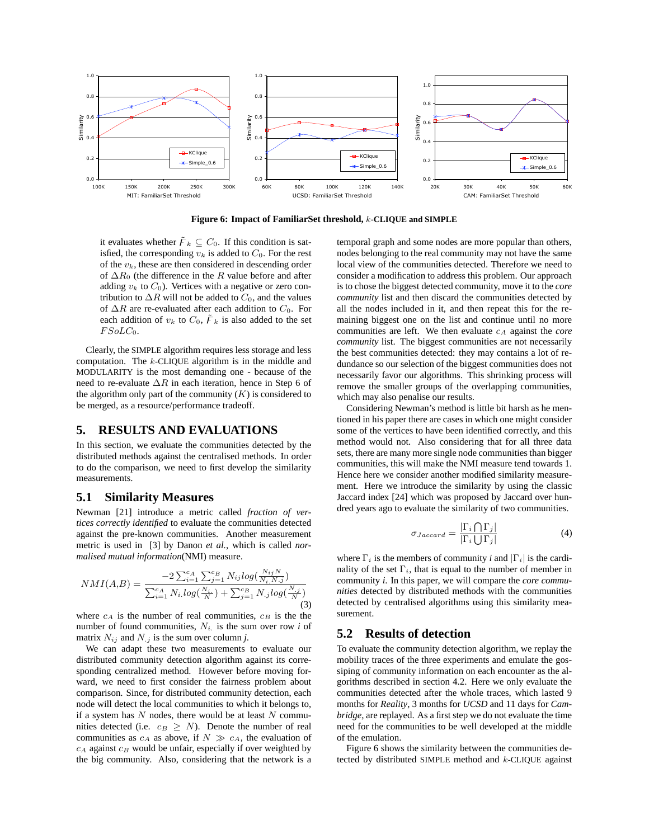

**Figure 6: Impact of FamiliarSet threshold,** k**-CLIQUE and SIMPLE**

it evaluates whether  $\tilde{F}_k \subseteq C_0$ . If this condition is satisfied, the corresponding  $v_k$  is added to  $C_0$ . For the rest of the  $v_k$ , these are then considered in descending order of  $\Delta R_0$  (the difference in the R value before and after adding  $v_k$  to  $C_0$ ). Vertices with a negative or zero contribution to  $\Delta R$  will not be added to  $C_0$ , and the values of  $\Delta R$  are re-evaluated after each addition to  $C_0$ . For each addition of  $v_k$  to  $C_0$ ,  $\tilde{F}_k$  is also added to the set  $FSoLC_0.$ 

Clearly, the SIMPLE algorithm requires less storage and less computation. The k-CLIQUE algorithm is in the middle and MODULARITY is the most demanding one - because of the need to re-evaluate  $\Delta R$  in each iteration, hence in Step 6 of the algorithm only part of the community  $(K)$  is considered to be merged, as a resource/performance tradeoff.

#### **5. RESULTS AND EVALUATIONS**

In this section, we evaluate the communities detected by the distributed methods against the centralised methods. In order to do the comparison, we need to first develop the similarity measurements.

#### **5.1 Similarity Measures**

Newman [21] introduce a metric called *fraction of vertices correctly identified* to evaluate the communities detected against the pre-known communities. Another measurement metric is used in [3] by Danon *et al.*, which is called *normalised mutual information*(NMI) measure.

$$
NMI(A,B) = \frac{-2\sum_{i=1}^{c_A}\sum_{j=1}^{c_B}N_{ij}log(\frac{N_{ij}N}{N_{i.}N,j})}{\sum_{i=1}^{c_A}N_{i.}log(\frac{N_{i.}}{N}) + \sum_{j=1}^{c_B}N_{.j}log(\frac{N_{.j}}{N})}
$$
(3)

where  $c_A$  is the number of real communities,  $c_B$  is the the number of found communities,  $N_i$  is the sum over row *i* of matrix  $N_{ij}$  and  $N_{.j}$  is the sum over column *j*.

We can adapt these two measurements to evaluate our distributed community detection algorithm against its corresponding centralized method. However before moving forward, we need to first consider the fairness problem about comparison. Since, for distributed community detection, each node will detect the local communities to which it belongs to, if a system has  $N$  nodes, there would be at least  $N$  communities detected (i.e.  $c_B \geq N$ ). Denote the number of real communities as  $c_A$  as above, if  $N \gg c_A$ , the evaluation of  $c_A$  against  $c_B$  would be unfair, especially if over weighted by the big community. Also, considering that the network is a temporal graph and some nodes are more popular than others, nodes belonging to the real community may not have the same local view of the communities detected. Therefore we need to consider a modification to address this problem. Our approach is to chose the biggest detected community, move it to the *core community* list and then discard the communities detected by all the nodes included in it, and then repeat this for the remaining biggest one on the list and continue until no more communities are left. We then evaluate  $c_A$  against the *core community* list. The biggest communities are not necessarily the best communities detected: they may contains a lot of redundance so our selection of the biggest communities does not necessarily favor our algorithms. This shrinking process will remove the smaller groups of the overlapping communities, which may also penalise our results.

Considering Newman's method is little bit harsh as he mentioned in his paper there are cases in which one might consider some of the vertices to have been identified correctly, and this method would not. Also considering that for all three data sets, there are many more single node communities than bigger communities, this will make the NMI measure tend towards 1. Hence here we consider another modified similarity measurement. Here we introduce the similarity by using the classic Jaccard index [24] which was proposed by Jaccard over hundred years ago to evaluate the similarity of two communities.

$$
\sigma_{Jaccard} = \frac{|\Gamma_i \bigcap \Gamma_j|}{|\Gamma_i \bigcup \Gamma_j|} \tag{4}
$$

where  $\Gamma_i$  is the members of community *i* and  $|\Gamma_i|$  is the cardinality of the set  $\Gamma_i$ , that is equal to the number of member in community *i*. In this paper, we will compare the *core communities* detected by distributed methods with the communities detected by centralised algorithms using this similarity measurement.

#### **5.2 Results of detection**

To evaluate the community detection algorithm, we replay the mobility traces of the three experiments and emulate the gossiping of community information on each encounter as the algorithms described in section 4.2. Here we only evaluate the communities detected after the whole traces, which lasted 9 months for *Reality*, 3 months for *UCSD* and 11 days for *Cambridge*, are replayed. As a first step we do not evaluate the time need for the communities to be well developed at the middle of the emulation.

Figure 6 shows the similarity between the communities detected by distributed SIMPLE method and k-CLIQUE against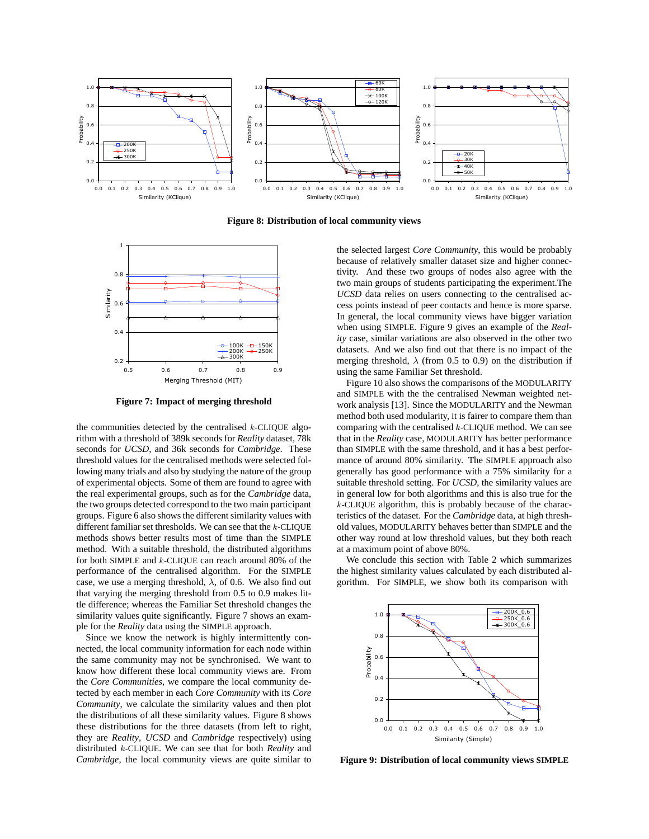

**Figure 8: Distribution of local community views**



**Figure 7: Impact of merging threshold**

the communities detected by the centralised  $k$ -CLIQUE algorithm with a threshold of 389k seconds for *Reality* dataset, 78k seconds for *UCSD*, and 36k seconds for *Cambridge*. These threshold values for the centralised methods were selected following many trials and also by studying the nature of the group of experimental objects. Some of them are found to agree with the real experimental groups, such as for the *Cambridge* data, the two groups detected correspond to the two main participant groups. Figure 6 also shows the different similarity values with different familiar set thresholds. We can see that the  $k$ -CLIQUE methods shows better results most of time than the SIMPLE method. With a suitable threshold, the distributed algorithms for both SIMPLE and k-CLIQUE can reach around 80% of the performance of the centralised algorithm. For the SIMPLE case, we use a merging threshold,  $\lambda$ , of 0.6. We also find out that varying the merging threshold from 0.5 to 0.9 makes little difference; whereas the Familiar Set threshold changes the similarity values quite significantly. Figure 7 shows an example for the *Reality* data using the SIMPLE approach.

Since we know the network is highly intermittently connected, the local community information for each node within the same community may not be synchronised. We want to know how different these local community views are. From the *Core Communities*, we compare the local community detected by each member in each *Core Community* with its *Core Community*, we calculate the similarity values and then plot the distributions of all these similarity values. Figure 8 shows these distributions for the three datasets (from left to right, they are *Reality*, *UCSD* and *Cambridge* respectively) using distributed k-CLIQUE. We can see that for both *Reality* and *Cambridge*, the local community views are quite similar to the selected largest *Core Community*, this would be probably because of relatively smaller dataset size and higher connectivity. And these two groups of nodes also agree with the two main groups of students participating the experiment.The *UCSD* data relies on users connecting to the centralised access points instead of peer contacts and hence is more sparse. In general, the local community views have bigger variation when using SIMPLE. Figure 9 gives an example of the *Reality* case, similar variations are also observed in the other two datasets. And we also find out that there is no impact of the merging threshold,  $\lambda$  (from 0.5 to 0.9) on the distribution if using the same Familiar Set threshold.

Figure 10 also shows the comparisons of the MODULARITY and SIMPLE with the the centralised Newman weighted network analysis [13]. Since the MODULARITY and the Newman method both used modularity, it is fairer to compare them than comparing with the centralised k-CLIQUE method. We can see that in the *Reality* case, MODULARITY has better performance than SIMPLE with the same threshold, and it has a best performance of around 80% similarity. The SIMPLE approach also generally has good performance with a 75% similarity for a suitable threshold setting. For *UCSD*, the similarity values are in general low for both algorithms and this is also true for the k-CLIQUE algorithm, this is probably because of the characteristics of the dataset. For the *Cambridge* data, at high threshold values, MODULARITY behaves better than SIMPLE and the other way round at low threshold values, but they both reach at a maximum point of above 80%.

We conclude this section with Table 2 which summarizes the highest similarity values calculated by each distributed algorithm. For SIMPLE, we show both its comparison with



**Figure 9: Distribution of local community views SIMPLE**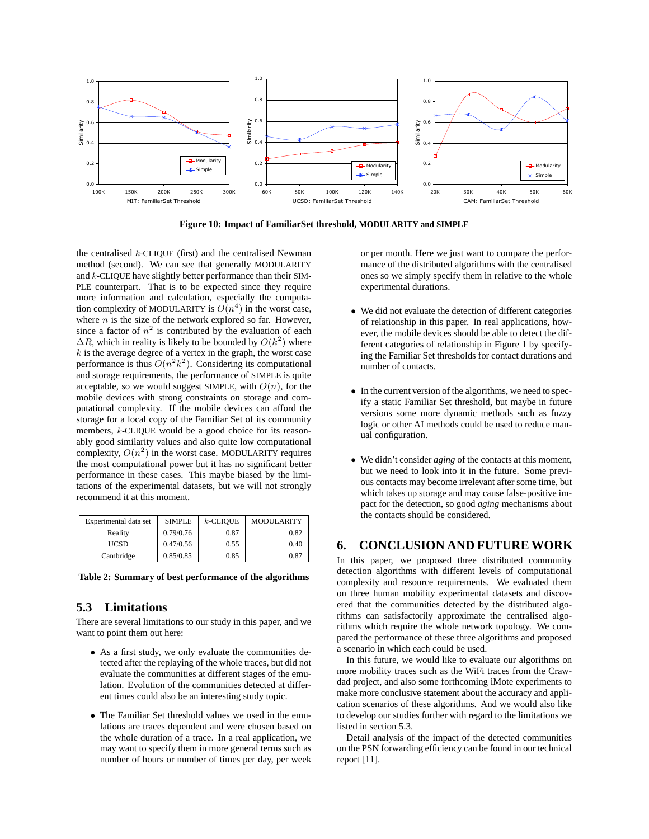

**Figure 10: Impact of FamiliarSet threshold, MODULARITY and SIMPLE**

the centralised  $k$ -CLIQUE (first) and the centralised Newman method (second). We can see that generally MODULARITY and k-CLIQUE have slightly better performance than their SIM-PLE counterpart. That is to be expected since they require more information and calculation, especially the computation complexity of MODULARITY is  $O(n^4)$  in the worst case, where  $n$  is the size of the network explored so far. However, since a factor of  $n^2$  is contributed by the evaluation of each  $\Delta R$ , which in reality is likely to be bounded by  $O(k^2)$  where  $k$  is the average degree of a vertex in the graph, the worst case performance is thus  $O(n^2k^2)$ . Considering its computational and storage requirements, the performance of SIMPLE is quite acceptable, so we would suggest SIMPLE, with  $O(n)$ , for the mobile devices with strong constraints on storage and computational complexity. If the mobile devices can afford the storage for a local copy of the Familiar Set of its community members, k-CLIQUE would be a good choice for its reasonably good similarity values and also quite low computational complexity,  $O(n^2)$  in the worst case. MODULARITY requires the most computational power but it has no significant better performance in these cases. This maybe biased by the limitations of the experimental datasets, but we will not strongly recommend it at this moment.

| Experimental data set | <b>SIMPLE</b> | $k$ -CLIQUE | <b>MODULARITY</b> |
|-----------------------|---------------|-------------|-------------------|
| Reality               | 0.79/0.76     | 0.87        | 0.82              |
| <b>UCSD</b>           | 0.47/0.56     | 0.55        | 0.40              |
| Cambridge             | 0.85/0.85     | 0.85        | 0.87              |

**Table 2: Summary of best performance of the algorithms**

#### **5.3 Limitations**

There are several limitations to our study in this paper, and we want to point them out here:

- As a first study, we only evaluate the communities detected after the replaying of the whole traces, but did not evaluate the communities at different stages of the emulation. Evolution of the communities detected at different times could also be an interesting study topic.
- The Familiar Set threshold values we used in the emulations are traces dependent and were chosen based on the whole duration of a trace. In a real application, we may want to specify them in more general terms such as number of hours or number of times per day, per week

or per month. Here we just want to compare the performance of the distributed algorithms with the centralised ones so we simply specify them in relative to the whole experimental durations.

- We did not evaluate the detection of different categories of relationship in this paper. In real applications, however, the mobile devices should be able to detect the different categories of relationship in Figure 1 by specifying the Familiar Set thresholds for contact durations and number of contacts.
- In the current version of the algorithms, we need to specify a static Familiar Set threshold, but maybe in future versions some more dynamic methods such as fuzzy logic or other AI methods could be used to reduce manual configuration.
- We didn't consider *aging* of the contacts at this moment, but we need to look into it in the future. Some previous contacts may become irrelevant after some time, but which takes up storage and may cause false-positive impact for the detection, so good *aging* mechanisms about the contacts should be considered.

#### **6. CONCLUSION AND FUTURE WORK**

In this paper, we proposed three distributed community detection algorithms with different levels of computational complexity and resource requirements. We evaluated them on three human mobility experimental datasets and discovered that the communities detected by the distributed algorithms can satisfactorily approximate the centralised algorithms which require the whole network topology. We compared the performance of these three algorithms and proposed a scenario in which each could be used.

In this future, we would like to evaluate our algorithms on more mobility traces such as the WiFi traces from the Crawdad project, and also some forthcoming iMote experiments to make more conclusive statement about the accuracy and application scenarios of these algorithms. And we would also like to develop our studies further with regard to the limitations we listed in section 5.3.

Detail analysis of the impact of the detected communities on the PSN forwarding efficiency can be found in our technical report [11].